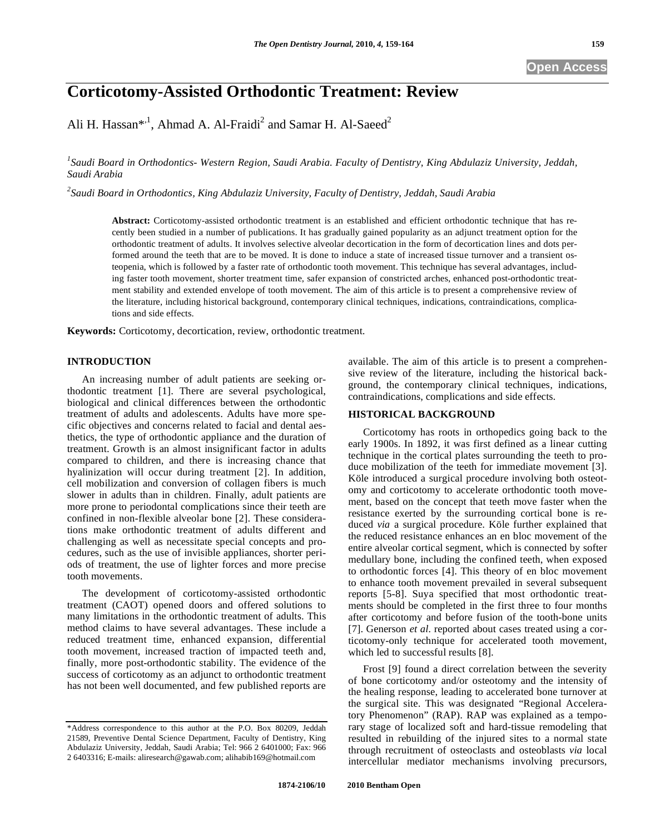# **Corticotomy-Assisted Orthodontic Treatment: Review**

Ali H. Hassan\*,<sup>1</sup>, Ahmad A. Al-Fraidi<sup>2</sup> and Samar H. Al-Saeed<sup>2</sup>

*1 Saudi Board in Orthodontics- Western Region, Saudi Arabia. Faculty of Dentistry, King Abdulaziz University, Jeddah, Saudi Arabia* 

*2 Saudi Board in Orthodontics, King Abdulaziz University, Faculty of Dentistry, Jeddah, Saudi Arabia* 

**Abstract:** Corticotomy-assisted orthodontic treatment is an established and efficient orthodontic technique that has recently been studied in a number of publications. It has gradually gained popularity as an adjunct treatment option for the orthodontic treatment of adults. It involves selective alveolar decortication in the form of decortication lines and dots performed around the teeth that are to be moved. It is done to induce a state of increased tissue turnover and a transient osteopenia, which is followed by a faster rate of orthodontic tooth movement. This technique has several advantages, including faster tooth movement, shorter treatment time, safer expansion of constricted arches, enhanced post-orthodontic treatment stability and extended envelope of tooth movement. The aim of this article is to present a comprehensive review of the literature, including historical background, contemporary clinical techniques, indications, contraindications, complications and side effects.

**Keywords:** Corticotomy, decortication, review, orthodontic treatment.

## **INTRODUCTION**

An increasing number of adult patients are seeking orthodontic treatment [1]. There are several psychological, biological and clinical differences between the orthodontic treatment of adults and adolescents. Adults have more specific objectives and concerns related to facial and dental aesthetics, the type of orthodontic appliance and the duration of treatment. Growth is an almost insignificant factor in adults compared to children, and there is increasing chance that hyalinization will occur during treatment [2]. In addition, cell mobilization and conversion of collagen fibers is much slower in adults than in children. Finally, adult patients are more prone to periodontal complications since their teeth are confined in non-flexible alveolar bone [2]. These considerations make orthodontic treatment of adults different and challenging as well as necessitate special concepts and procedures, such as the use of invisible appliances, shorter periods of treatment, the use of lighter forces and more precise tooth movements.

The development of corticotomy-assisted orthodontic treatment (CAOT) opened doors and offered solutions to many limitations in the orthodontic treatment of adults. This method claims to have several advantages. These include a reduced treatment time, enhanced expansion, differential tooth movement, increased traction of impacted teeth and, finally, more post-orthodontic stability. The evidence of the success of corticotomy as an adjunct to orthodontic treatment has not been well documented, and few published reports are

available. The aim of this article is to present a comprehensive review of the literature, including the historical background, the contemporary clinical techniques, indications, contraindications, complications and side effects.

# **HISTORICAL BACKGROUND**

Corticotomy has roots in orthopedics going back to the early 1900s. In 1892, it was first defined as a linear cutting technique in the cortical plates surrounding the teeth to produce mobilization of the teeth for immediate movement [3]. Köle introduced a surgical procedure involving both osteotomy and corticotomy to accelerate orthodontic tooth movement, based on the concept that teeth move faster when the resistance exerted by the surrounding cortical bone is reduced *via* a surgical procedure. Köle further explained that the reduced resistance enhances an en bloc movement of the entire alveolar cortical segment, which is connected by softer medullary bone, including the confined teeth, when exposed to orthodontic forces [4]. This theory of en bloc movement to enhance tooth movement prevailed in several subsequent reports [5-8]. Suya specified that most orthodontic treatments should be completed in the first three to four months after corticotomy and before fusion of the tooth-bone units [7]. Generson *et al.* reported about cases treated using a corticotomy-only technique for accelerated tooth movement, which led to successful results [8].

Frost [9] found a direct correlation between the severity of bone corticotomy and/or osteotomy and the intensity of the healing response, leading to accelerated bone turnover at the surgical site. This was designated "Regional Acceleratory Phenomenon" (RAP). RAP was explained as a temporary stage of localized soft and hard-tissue remodeling that resulted in rebuilding of the injured sites to a normal state through recruitment of osteoclasts and osteoblasts *via* local intercellular mediator mechanisms involving precursors,

<sup>\*</sup>Address correspondence to this author at the P.O. Box 80209, Jeddah 21589, Preventive Dental Science Department, Faculty of Dentistry, King Abdulaziz University, Jeddah, Saudi Arabia; Tel: 966 2 6401000; Fax: 966 2 6403316; E-mails: aliresearch@gawab.com; alihabib169@hotmail.com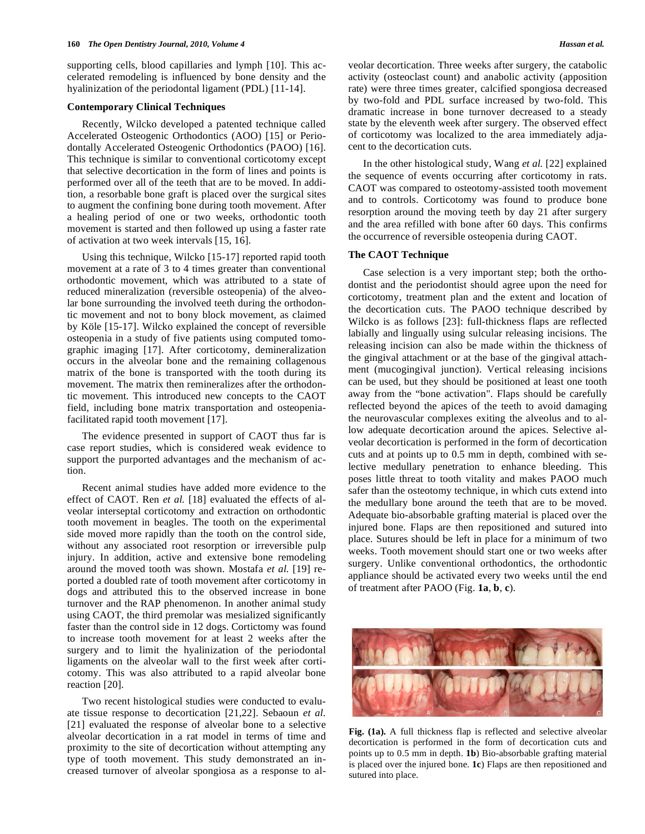supporting cells, blood capillaries and lymph [10]. This accelerated remodeling is influenced by bone density and the hyalinization of the periodontal ligament (PDL) [11-14].

#### **Contemporary Clinical Techniques**

Recently, Wilcko developed a patented technique called Accelerated Osteogenic Orthodontics (AOO) [15] or Periodontally Accelerated Osteogenic Orthodontics (PAOO) [16]. This technique is similar to conventional corticotomy except that selective decortication in the form of lines and points is performed over all of the teeth that are to be moved. In addition, a resorbable bone graft is placed over the surgical sites to augment the confining bone during tooth movement. After a healing period of one or two weeks, orthodontic tooth movement is started and then followed up using a faster rate of activation at two week intervals [15, 16].

Using this technique, Wilcko [15-17] reported rapid tooth movement at a rate of 3 to 4 times greater than conventional orthodontic movement, which was attributed to a state of reduced mineralization (reversible osteopenia) of the alveolar bone surrounding the involved teeth during the orthodontic movement and not to bony block movement, as claimed by Köle [15-17]. Wilcko explained the concept of reversible osteopenia in a study of five patients using computed tomographic imaging [17]. After corticotomy, demineralization occurs in the alveolar bone and the remaining collagenous matrix of the bone is transported with the tooth during its movement. The matrix then remineralizes after the orthodontic movement. This introduced new concepts to the CAOT field, including bone matrix transportation and osteopeniafacilitated rapid tooth movement [17].

The evidence presented in support of CAOT thus far is case report studies, which is considered weak evidence to support the purported advantages and the mechanism of action.

Recent animal studies have added more evidence to the effect of CAOT. Ren *et al.* [18] evaluated the effects of alveolar interseptal corticotomy and extraction on orthodontic tooth movement in beagles. The tooth on the experimental side moved more rapidly than the tooth on the control side, without any associated root resorption or irreversible pulp injury. In addition, active and extensive bone remodeling around the moved tooth was shown. Mostafa *et al.* [19] reported a doubled rate of tooth movement after corticotomy in dogs and attributed this to the observed increase in bone turnover and the RAP phenomenon. In another animal study using CAOT, the third premolar was mesialized significantly faster than the control side in 12 dogs. Cortictomy was found to increase tooth movement for at least 2 weeks after the surgery and to limit the hyalinization of the periodontal ligaments on the alveolar wall to the first week after corticotomy. This was also attributed to a rapid alveolar bone reaction [20].

Two recent histological studies were conducted to evaluate tissue response to decortication [21,22]. Sebaoun *et al.* [21] evaluated the response of alveolar bone to a selective alveolar decortication in a rat model in terms of time and proximity to the site of decortication without attempting any type of tooth movement. This study demonstrated an increased turnover of alveolar spongiosa as a response to alveolar decortication. Three weeks after surgery, the catabolic activity (osteoclast count) and anabolic activity (apposition rate) were three times greater, calcified spongiosa decreased by two-fold and PDL surface increased by two-fold. This dramatic increase in bone turnover decreased to a steady state by the eleventh week after surgery. The observed effect of corticotomy was localized to the area immediately adjacent to the decortication cuts.

In the other histological study, Wang *et al.* [22] explained the sequence of events occurring after corticotomy in rats. CAOT was compared to osteotomy-assisted tooth movement and to controls. Corticotomy was found to produce bone resorption around the moving teeth by day 21 after surgery and the area refilled with bone after 60 days. This confirms the occurrence of reversible osteopenia during CAOT.

#### **The CAOT Technique**

Case selection is a very important step; both the orthodontist and the periodontist should agree upon the need for corticotomy, treatment plan and the extent and location of the decortication cuts. The PAOO technique described by Wilcko is as follows [23]: full-thickness flaps are reflected labially and lingually using sulcular releasing incisions. The releasing incision can also be made within the thickness of the gingival attachment or at the base of the gingival attachment (mucogingival junction). Vertical releasing incisions can be used, but they should be positioned at least one tooth away from the "bone activation". Flaps should be carefully reflected beyond the apices of the teeth to avoid damaging the neurovascular complexes exiting the alveolus and to allow adequate decortication around the apices. Selective alveolar decortication is performed in the form of decortication cuts and at points up to 0.5 mm in depth, combined with selective medullary penetration to enhance bleeding. This poses little threat to tooth vitality and makes PAOO much safer than the osteotomy technique, in which cuts extend into the medullary bone around the teeth that are to be moved. Adequate bio-absorbable grafting material is placed over the injured bone. Flaps are then repositioned and sutured into place. Sutures should be left in place for a minimum of two weeks. Tooth movement should start one or two weeks after surgery. Unlike conventional orthodontics, the orthodontic appliance should be activated every two weeks until the end of treatment after PAOO (Fig. **1a**, **b**, **c**).



**Fig. (1a).** A full thickness flap is reflected and selective alveolar decortication is performed in the form of decortication cuts and points up to 0.5 mm in depth. **1b**) Bio-absorbable grafting material is placed over the injured bone. **1c**) Flaps are then repositioned and sutured into place.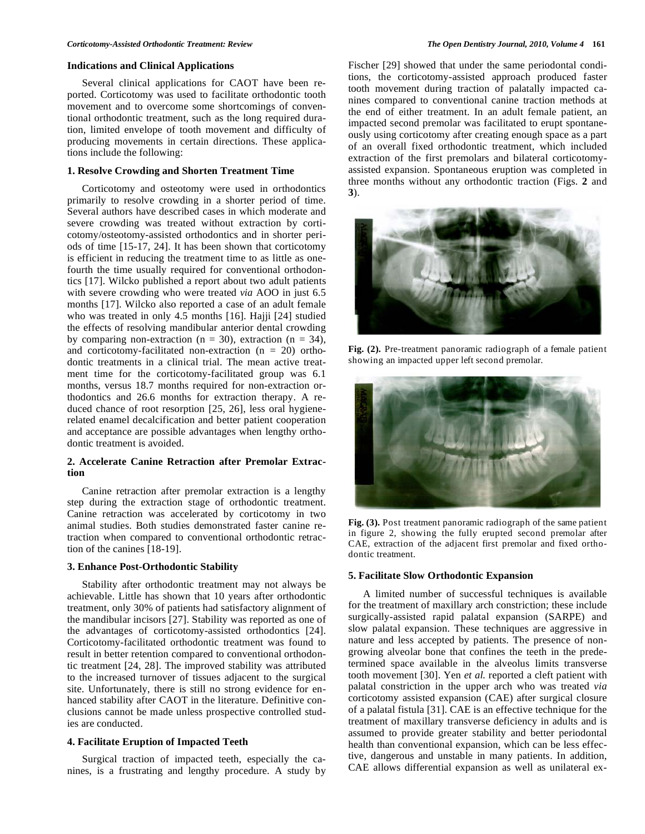## **Indications and Clinical Applications**

Several clinical applications for CAOT have been reported. Corticotomy was used to facilitate orthodontic tooth movement and to overcome some shortcomings of conventional orthodontic treatment, such as the long required duration, limited envelope of tooth movement and difficulty of producing movements in certain directions. These applications include the following:

## **1. Resolve Crowding and Shorten Treatment Time**

Corticotomy and osteotomy were used in orthodontics primarily to resolve crowding in a shorter period of time. Several authors have described cases in which moderate and severe crowding was treated without extraction by corticotomy/osteotomy-assisted orthodontics and in shorter periods of time [15-17, 24]. It has been shown that corticotomy is efficient in reducing the treatment time to as little as onefourth the time usually required for conventional orthodontics [17]. Wilcko published a report about two adult patients with severe crowding who were treated *via* AOO in just 6.5 months [17]. Wilcko also reported a case of an adult female who was treated in only 4.5 months [16]. Hajji [24] studied the effects of resolving mandibular anterior dental crowding by comparing non-extraction ( $n = 30$ ), extraction ( $n = 34$ ), and corticotomy-facilitated non-extraction  $(n = 20)$  orthodontic treatments in a clinical trial. The mean active treatment time for the corticotomy-facilitated group was 6.1 months, versus 18.7 months required for non-extraction orthodontics and 26.6 months for extraction therapy. A reduced chance of root resorption [25, 26], less oral hygienerelated enamel decalcification and better patient cooperation and acceptance are possible advantages when lengthy orthodontic treatment is avoided.

## **2. Accelerate Canine Retraction after Premolar Extraction**

Canine retraction after premolar extraction is a lengthy step during the extraction stage of orthodontic treatment. Canine retraction was accelerated by corticotomy in two animal studies. Both studies demonstrated faster canine retraction when compared to conventional orthodontic retraction of the canines [18-19].

#### **3. Enhance Post-Orthodontic Stability**

Stability after orthodontic treatment may not always be achievable. Little has shown that 10 years after orthodontic treatment, only 30% of patients had satisfactory alignment of the mandibular incisors [27]. Stability was reported as one of the advantages of corticotomy-assisted orthodontics [24]. Corticotomy-facilitated orthodontic treatment was found to result in better retention compared to conventional orthodontic treatment [24, 28]. The improved stability was attributed to the increased turnover of tissues adjacent to the surgical site. Unfortunately, there is still no strong evidence for enhanced stability after CAOT in the literature. Definitive conclusions cannot be made unless prospective controlled studies are conducted.

# **4. Facilitate Eruption of Impacted Teeth**

Surgical traction of impacted teeth, especially the canines, is a frustrating and lengthy procedure. A study by Fischer [29] showed that under the same periodontal conditions, the corticotomy-assisted approach produced faster tooth movement during traction of palatally impacted canines compared to conventional canine traction methods at the end of either treatment. In an adult female patient, an impacted second premolar was facilitated to erupt spontaneously using corticotomy after creating enough space as a part of an overall fixed orthodontic treatment, which included extraction of the first premolars and bilateral corticotomyassisted expansion. Spontaneous eruption was completed in three months without any orthodontic traction (Figs. **2** and **3**).



**Fig. (2).** Pre-treatment panoramic radiograph of a female patient showing an impacted upper left second premolar.



**Fig. (3).** Post treatment panoramic radiograph of the same patient in figure 2, showing the fully erupted second premolar after CAE, extraction of the adjacent first premolar and fixed orthodontic treatment.

## **5. Facilitate Slow Orthodontic Expansion**

A limited number of successful techniques is available for the treatment of maxillary arch constriction; these include surgically-assisted rapid palatal expansion (SARPE) and slow palatal expansion. These techniques are aggressive in nature and less accepted by patients. The presence of nongrowing alveolar bone that confines the teeth in the predetermined space available in the alveolus limits transverse tooth movement [30]. Yen *et al.* reported a cleft patient with palatal constriction in the upper arch who was treated *via* corticotomy assisted expansion (CAE) after surgical closure of a palatal fistula [31]. CAE is an effective technique for the treatment of maxillary transverse deficiency in adults and is assumed to provide greater stability and better periodontal health than conventional expansion, which can be less effective, dangerous and unstable in many patients. In addition, CAE allows differential expansion as well as unilateral ex-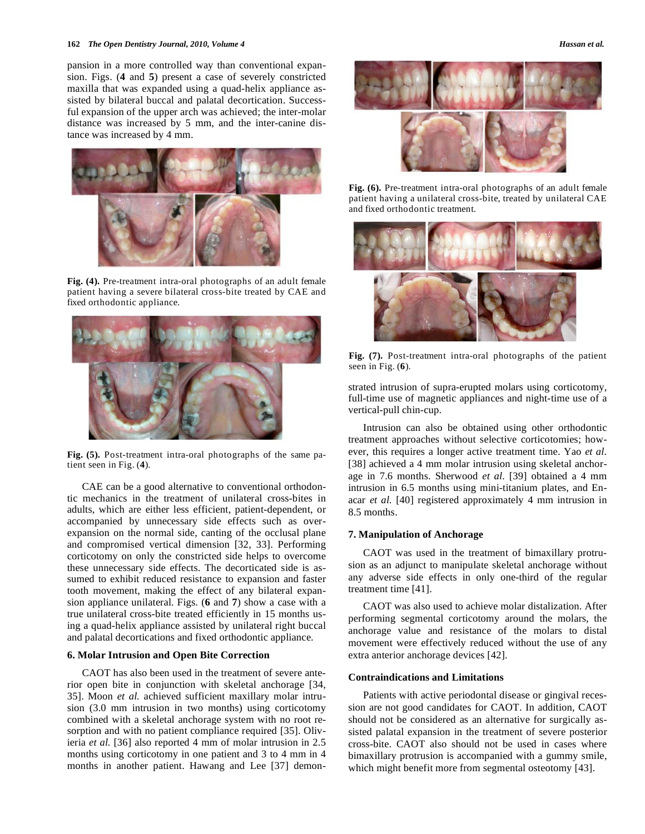#### **162** *The Open Dentistry Journal, 2010, Volume 4**Hassan et al.**Hassan et al.**Hassan et al.*

pansion in a more controlled way than conventional expansion. Figs. (**4** and **5**) present a case of severely constricted maxilla that was expanded using a quad-helix appliance assisted by bilateral buccal and palatal decortication. Successful expansion of the upper arch was achieved; the inter-molar distance was increased by 5 mm, and the inter-canine distance was increased by 4 mm.



**Fig. (4).** Pre-treatment intra-oral photographs of an adult female patient having a severe bilateral cross-bite treated by CAE and fixed orthodontic appliance.



**Fig. (5).** Post-treatment intra-oral photographs of the same patient seen in Fig. (**4**).

CAE can be a good alternative to conventional orthodontic mechanics in the treatment of unilateral cross-bites in adults, which are either less efficient, patient-dependent, or accompanied by unnecessary side effects such as overexpansion on the normal side, canting of the occlusal plane and compromised vertical dimension [32, 33]. Performing corticotomy on only the constricted side helps to overcome these unnecessary side effects. The decorticated side is assumed to exhibit reduced resistance to expansion and faster tooth movement, making the effect of any bilateral expansion appliance unilateral. Figs. (**6** and **7**) show a case with a true unilateral cross-bite treated efficiently in 15 months using a quad-helix appliance assisted by unilateral right buccal and palatal decortications and fixed orthodontic appliance.

# **6. Molar Intrusion and Open Bite Correction**

CAOT has also been used in the treatment of severe anterior open bite in conjunction with skeletal anchorage [34, 35]. Moon *et al.* achieved sufficient maxillary molar intrusion (3.0 mm intrusion in two months) using corticotomy combined with a skeletal anchorage system with no root resorption and with no patient compliance required [35]. Olivieria *et al.* [36] also reported 4 mm of molar intrusion in 2.5 months using corticotomy in one patient and 3 to 4 mm in 4 months in another patient. Hawang and Lee [37] demon-



**Fig. (6).** Pre-treatment intra-oral photographs of an adult female patient having a unilateral cross-bite, treated by unilateral CAE and fixed orthodontic treatment.



**Fig. (7).** Post-treatment intra-oral photographs of the patient seen in Fig. (**6**).

strated intrusion of supra-erupted molars using corticotomy, full-time use of magnetic appliances and night-time use of a vertical-pull chin-cup.

Intrusion can also be obtained using other orthodontic treatment approaches without selective corticotomies; however, this requires a longer active treatment time. Yao *et al.* [38] achieved a 4 mm molar intrusion using skeletal anchorage in 7.6 months. Sherwood *et al.* [39] obtained a 4 mm intrusion in 6.5 months using mini-titanium plates, and Enacar *et al.* [40] registered approximately 4 mm intrusion in 8.5 months.

# **7. Manipulation of Anchorage**

CAOT was used in the treatment of bimaxillary protrusion as an adjunct to manipulate skeletal anchorage without any adverse side effects in only one-third of the regular treatment time [41].

CAOT was also used to achieve molar distalization. After performing segmental corticotomy around the molars, the anchorage value and resistance of the molars to distal movement were effectively reduced without the use of any extra anterior anchorage devices [42].

### **Contraindications and Limitations**

Patients with active periodontal disease or gingival recession are not good candidates for CAOT. In addition, CAOT should not be considered as an alternative for surgically assisted palatal expansion in the treatment of severe posterior cross-bite. CAOT also should not be used in cases where bimaxillary protrusion is accompanied with a gummy smile, which might benefit more from segmental osteotomy [43].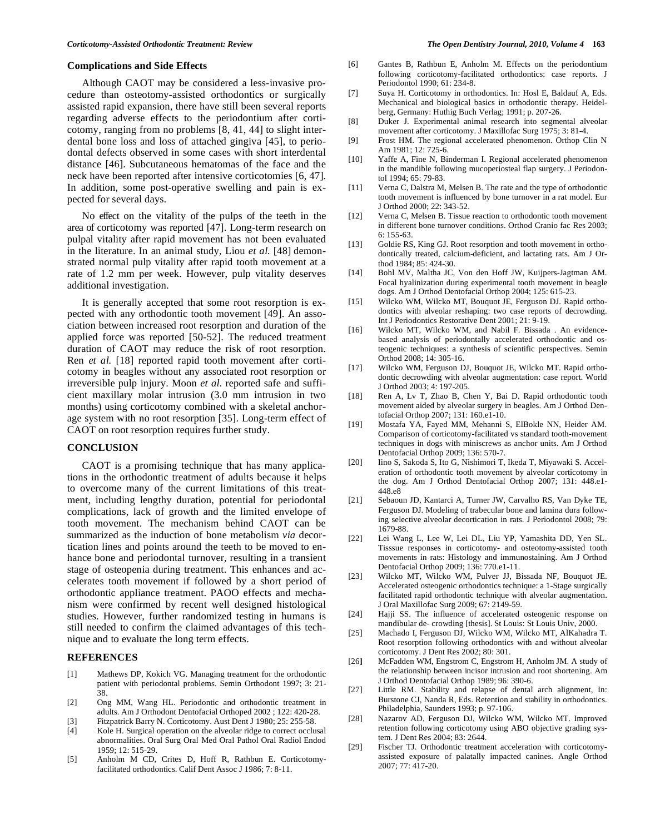#### **Complications and Side Effects**

Although CAOT may be considered a less-invasive procedure than osteotomy-assisted orthodontics or surgically assisted rapid expansion, there have still been several reports regarding adverse effects to the periodontium after corticotomy, ranging from no problems [8, 41, 44] to slight interdental bone loss and loss of attached gingiva [45], to periodontal defects observed in some cases with short interdental distance [46]. Subcutaneous hematomas of the face and the neck have been reported after intensive corticotomies [6, 47]. In addition, some post-operative swelling and pain is expected for several days.

No effect on the vitality of the pulps of the teeth in the area of corticotomy was reported [47]. Long-term research on pulpal vitality after rapid movement has not been evaluated in the literature. In an animal study, Liou *et al.* [48] demonstrated normal pulp vitality after rapid tooth movement at a rate of 1.2 mm per week. However, pulp vitality deserves additional investigation.

It is generally accepted that some root resorption is expected with any orthodontic tooth movement [49]. An association between increased root resorption and duration of the applied force was reported [50-52]. The reduced treatment duration of CAOT may reduce the risk of root resorption. Ren *et al.* [18] reported rapid tooth movement after corticotomy in beagles without any associated root resorption or irreversible pulp injury. Moon *et al.* reported safe and sufficient maxillary molar intrusion (3.0 mm intrusion in two months) using corticotomy combined with a skeletal anchorage system with no root resorption [35]. Long-term effect of CAOT on root resorption requires further study.

## **CONCLUSION**

CAOT is a promising technique that has many applications in the orthodontic treatment of adults because it helps to overcome many of the current limitations of this treatment, including lengthy duration, potential for periodontal complications, lack of growth and the limited envelope of tooth movement. The mechanism behind CAOT can be summarized as the induction of bone metabolism *via* decortication lines and points around the teeth to be moved to enhance bone and periodontal turnover, resulting in a transient stage of osteopenia during treatment. This enhances and accelerates tooth movement if followed by a short period of orthodontic appliance treatment. PAOO effects and mechanism were confirmed by recent well designed histological studies. However, further randomized testing in humans is still needed to confirm the claimed advantages of this technique and to evaluate the long term effects.

#### **REFERENCES**

- [1] Mathews DP, Kokich VG. Managing treatment for the orthodontic patient with periodontal problems. Semin Orthodont 1997; 3: 21- 38.
- [2] Ong MM, Wang HL. Periodontic and orthodontic treatment in adults. Am J Orthodont Dentofacial Orthoped 2002 ; 122: 420-28.
- [3] Fitzpatrick Barry N. Corticotomy. Aust Dent J 1980; 25: 255-58.
- [4] Kole H. Surgical operation on the alveolar ridge to correct occlusal abnormalities. Oral Surg Oral Med Oral Pathol Oral Radiol Endod 1959; 12: 515-29.
- [5] Anholm M CD, Crites D, Hoff R, Rathbun E. Corticotomyfacilitated orthodontics. Calif Dent Assoc J 1986; 7: 8-11.
- [6] Gantes B, Rathbun E, Anholm M. Effects on the periodontium following corticotomy-facilitated orthodontics: case reports. J Periodontol 1990; 61: 234-8.
- [7] Suya H. Corticotomy in orthodontics. In: Hosl E, Baldauf A, Eds. Mechanical and biological basics in orthodontic therapy. Heidelberg, Germany: Huthig Buch Verlag; 1991; p. 207-26.
- [8] Duker J. Experimental animal research into segmental alveolar movement after corticotomy. J Maxillofac Surg 1975; 3: 81-4.
- [9] Frost HM. The regional accelerated phenomenon. Orthop Clin N Am 1981; 12: 725-6.
- [10] Yaffe A, Fine N, Binderman I. Regional accelerated phenomenon in the mandible following mucoperiosteal flap surgery. J Periodontol 1994; 65: 79-83.
- [11] Verna C, Dalstra M, Melsen B. The rate and the type of orthodontic tooth movement is influenced by bone turnover in a rat model. Eur J Orthod 2000; 22: 343-52.
- [12] Verna C, Melsen B. Tissue reaction to orthodontic tooth movement in different bone turnover conditions. Orthod Cranio fac Res 2003; 6: 155-63.
- [13] Goldie RS, King GJ. Root resorption and tooth movement in orthodontically treated, calcium-deficient, and lactating rats. Am J Orthod 1984; 85: 424-30.
- [14] Bohl MV, Maltha JC, Von den Hoff JW, Kuijpers-Jagtman AM. Focal hyalinization during experimental tooth movement in beagle dogs. Am J Orthod Dentofacial Orthop 2004; 125: 615-23.
- [15] Wilcko WM, Wilcko MT, Bouquot JE, Ferguson DJ. Rapid orthodontics with alveolar reshaping: two case reports of decrowding. Int J Periodontics Restorative Dent 2001; 21: 9-19.
- [16] Wilcko MT, Wilcko WM, and Nabil F. Bissada . An evidencebased analysis of periodontally accelerated orthodontic and osteogenic techniques: a synthesis of scientific perspectives. Semin Orthod 2008; 14: 305-16.
- [17] Wilcko WM, Ferguson DJ, Bouquot JE, Wilcko MT. Rapid orthodontic decrowding with alveolar augmentation: case report. World J Orthod 2003; 4: 197-205.
- [18] Ren A, Ly T, Zhao B, Chen Y, Bai D. Rapid orthodontic tooth movement aided by alveolar surgery in beagles. Am J Orthod Dentofacial Orthop 2007; 131: 160.e1-10.
- [19] Mostafa YA, Fayed MM, Mehanni S, ElBokle NN, Heider AM. Comparison of corticotomy-facilitated vs standard tooth-movement techniques in dogs with miniscrews as anchor units. Am J Orthod Dentofacial Orthop 2009; 136: 570-7.
- [20] Iino S, Sakoda S, Ito G, Nishimori T, Ikeda T, Miyawaki S. Acceleration of orthodontic tooth movement by alveolar corticotomy in the dog. Am J Orthod Dentofacial Orthop 2007; 131: 448.e1- 448.e8
- [21] Sebaoun JD, Kantarci A, Turner JW, Carvalho RS, Van Dyke TE, Ferguson DJ. Modeling of trabecular bone and lamina dura following selective alveolar decortication in rats. J Periodontol 2008; 79: 1679-88.
- [22] Lei Wang L, Lee W, Lei DL, Liu YP, Yamashita DD, Yen SL. Tisssue responses in corticotomy- and osteotomy-assisted tooth movements in rats: Histology and immunostaining. Am J Orthod Dentofacial Orthop 2009; 136: 770.e1-11.
- [23] Wilcko MT, Wilcko WM, Pulver JJ, Bissada NF, Bouquot JE. Accelerated osteogenic orthodontics technique: a 1-Stage surgically facilitated rapid orthodontic technique with alveolar augmentation. J Oral Maxillofac Surg 2009; 67: 2149-59.
- [24] Hajji SS. The influence of accelerated osteogenic response on mandibular de- crowding [thesis]. St Louis: St Louis Univ, 2000.
- [25] Machado I, Ferguson DJ, Wilcko WM, Wilcko MT, AlKahadra T. Root resorption following orthodontics with and without alveolar corticotomy. J Dent Res 2002; 80: 301.
- [26**]** McFadden WM, Engstrom C, Engstrom H, Anholm JM. A study of the relationship between incisor intrusion and root shortening. Am J Orthod Dentofacial Orthop 1989; 96: 390-6.
- [27] Little RM. Stability and relapse of dental arch alignment, In: Burstone CJ, Nanda R, Eds. Retention and stability in orthodontics. Philadelphia, Saunders 1993; p. 97-106.
- [28] Nazarov AD, Ferguson DJ, Wilcko WM, Wilcko MT. Improved retention following corticotomy using ABO objective grading system. J Dent Res 2004; 83: 2644.
- [29] Fischer TJ. Orthodontic treatment acceleration with corticotomyassisted exposure of palatally impacted canines. Angle Orthod 2007; 77: 417-20.